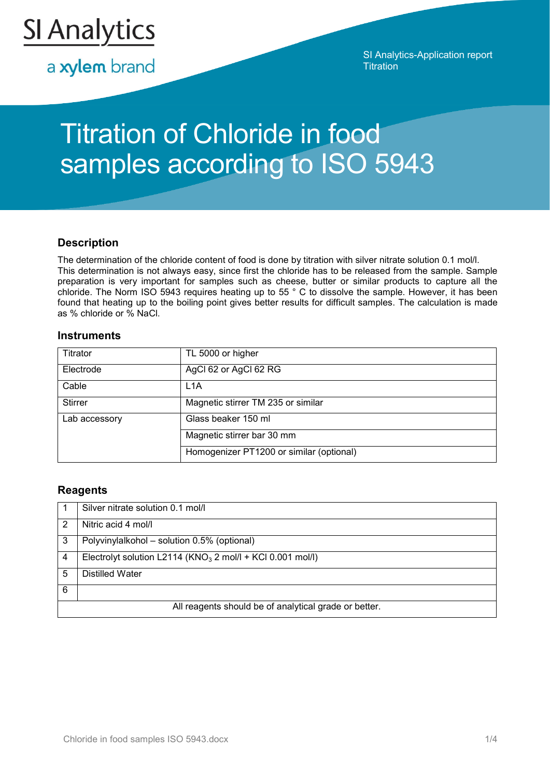

a xylem brand

SI Analytics-Application report **Titration** 

# Titration of Chloride in food samples according to ISO 5943

## **Description**

The determination of the chloride content of food is done by titration with silver nitrate solution 0.1 mol/l. This determination is not always easy, since first the chloride has to be released from the sample. Sample preparation is very important for samples such as cheese, butter or similar products to capture all the chloride. The Norm ISO 5943 requires heating up to 55 ° C to dissolve the sample. However, it has been found that heating up to the boiling point gives better results for difficult samples. The calculation is made as % chloride or % NaCl.

### **Instruments**

| Titrator       | TL 5000 or higher                        |
|----------------|------------------------------------------|
| Electrode      | AgCl 62 or AgCl 62 RG                    |
| Cable          | L <sub>1</sub> A                         |
| <b>Stirrer</b> | Magnetic stirrer TM 235 or similar       |
| Lab accessory  | Glass beaker 150 ml                      |
|                | Magnetic stirrer bar 30 mm               |
|                | Homogenizer PT1200 or similar (optional) |

## **Reagents**

|                                                       | Silver nitrate solution 0.1 mol/l                             |  |
|-------------------------------------------------------|---------------------------------------------------------------|--|
| 2                                                     | Nitric acid 4 mol/l                                           |  |
| 3                                                     | Polyvinylalkohol - solution 0.5% (optional)                   |  |
| 4                                                     | Electrolyt solution L2114 ( $KNO3$ 2 mol/l + KCl 0.001 mol/l) |  |
| 5                                                     | <b>Distilled Water</b>                                        |  |
| 6                                                     |                                                               |  |
| All reagents should be of analytical grade or better. |                                                               |  |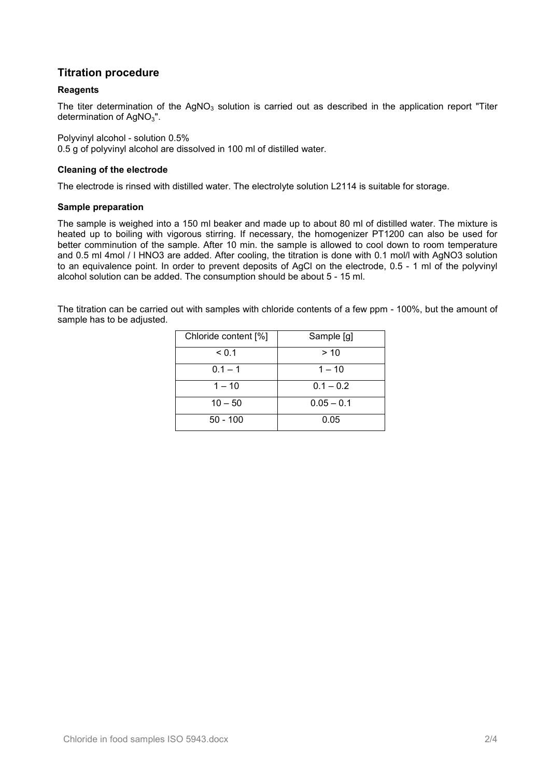## **Titration procedure**

#### **Reagents**

The titer determination of the  $AgNO<sub>3</sub>$  solution is carried out as described in the application report "Titer determination of  $AgNO<sub>3</sub>$ ".

Polyvinyl alcohol - solution 0.5% 0.5 g of polyvinyl alcohol are dissolved in 100 ml of distilled water.

#### **Cleaning of the electrode**

The electrode is rinsed with distilled water. The electrolyte solution L2114 is suitable for storage.

#### **Sample preparation**

The sample is weighed into a 150 ml beaker and made up to about 80 ml of distilled water. The mixture is heated up to boiling with vigorous stirring. If necessary, the homogenizer PT1200 can also be used for better comminution of the sample. After 10 min. the sample is allowed to cool down to room temperature and 0.5 ml 4mol / l HNO3 are added. After cooling, the titration is done with 0.1 mol/l with AgNO3 solution to an equivalence point. In order to prevent deposits of AgCl on the electrode, 0.5 - 1 ml of the polyvinyl alcohol solution can be added. The consumption should be about 5 - 15 ml.

The titration can be carried out with samples with chloride contents of a few ppm - 100%, but the amount of sample has to be adjusted.

| Chloride content [%] | Sample [g]   |  |
|----------------------|--------------|--|
| < 0.1                | > 10         |  |
| $0.1 - 1$            | $1 - 10$     |  |
| $1 - 10$             | $0.1 - 0.2$  |  |
| $10 - 50$            | $0.05 - 0.1$ |  |
| $50 - 100$           | 0.05         |  |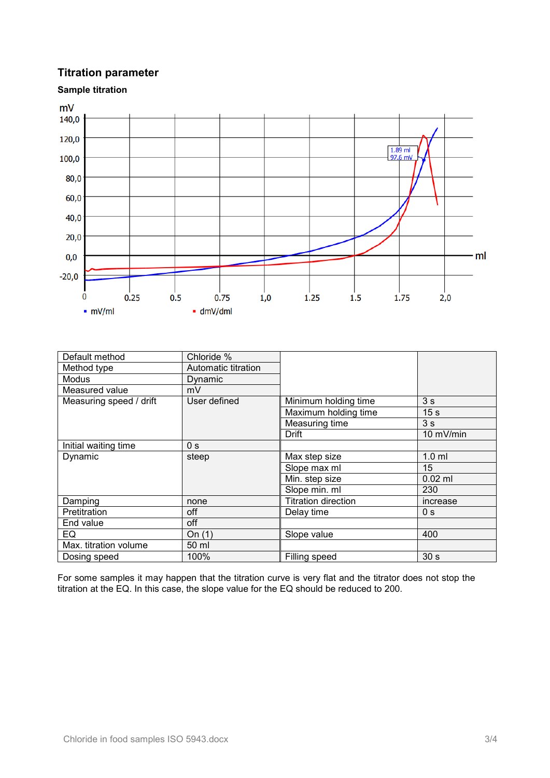## **Titration parameter**



| Default method          | Chloride %          |                            |                 |
|-------------------------|---------------------|----------------------------|-----------------|
| Method type             | Automatic titration |                            |                 |
| Modus                   | Dynamic             |                            |                 |
| Measured value          | mV                  |                            |                 |
| Measuring speed / drift | User defined        | Minimum holding time       | 3 <sub>s</sub>  |
|                         |                     | Maximum holding time       | 15 <sub>s</sub> |
|                         |                     | Measuring time             | 3s              |
|                         |                     | Drift                      | 10 mV/min       |
| Initial waiting time    | 0 <sub>s</sub>      |                            |                 |
| Dynamic                 | steep               | Max step size              | $1.0$ ml        |
|                         |                     | Slope max ml               | 15              |
|                         |                     | Min. step size             | $0.02$ ml       |
|                         |                     | Slope min. ml              | 230             |
| Damping                 | none                | <b>Titration direction</b> | increase        |
| Pretitration            | off                 | Delay time                 | 0 <sub>s</sub>  |
| End value               | off                 |                            |                 |
| EQ                      | On $(1)$            | Slope value                | 400             |
| Max. titration volume   | 50 ml               |                            |                 |
| Dosing speed            | 100%                | Filling speed              | 30 <sub>s</sub> |

For some samples it may happen that the titration curve is very flat and the titrator does not stop the titration at the EQ. In this case, the slope value for the EQ should be reduced to 200.